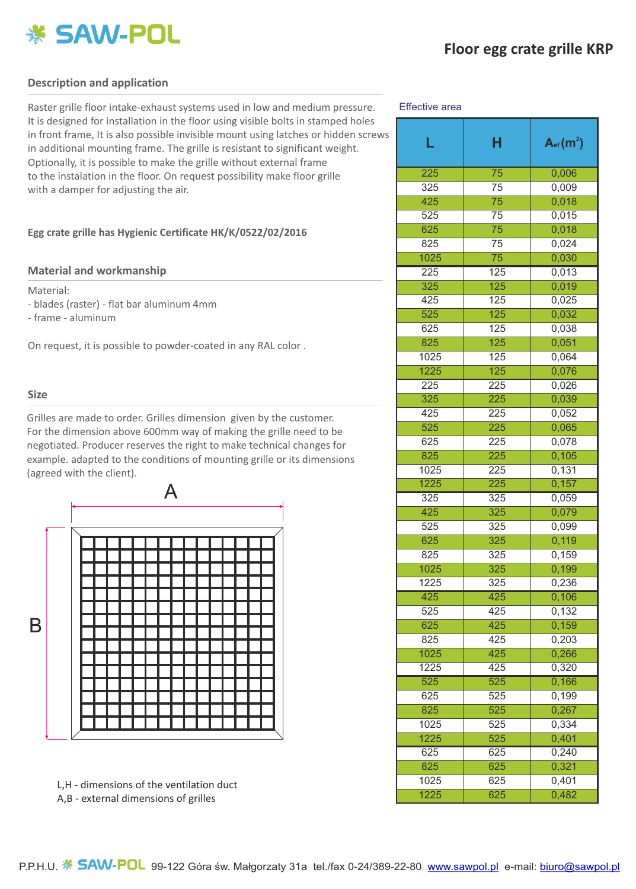

# **Description and application**

Raster grille floor intake-exhaust systems used in low and medium pressure. It is designed for installation in the floor using visible bolts in stamped holes in front frame, It is also possible invisible mount using latches or hidden screws in additional mounting frame. The grille is resistant to significant weight. Optionally, it is possible to make the grille without external frame to the instalation in the floor. On request possibility make floor grille with a damper for adjusting the air.

## **Egg crate grille has Hygienic Certificate HK/K/0522/02/2016**

### **Material and workmanship**

Material:

- blades (raster) flat bar aluminum 4mm
- frame aluminum

On request, it is possible to powder-coated in any RAL color .

### **Size**

Grilles are made to order. Grilles dimension given by the customer. For the dimension above 600mm way of making the grille need to be negotiated. Producer reserves the right to make technical changes for example. adapted to the conditions of mounting grille or its dimensions (agreed with the client).



L,H - dimensions of the ventilation duct A,B - external dimensions of grilles

#### Effective area

| L                | н                | $A_{\text{ef}}(m^2)$ |
|------------------|------------------|----------------------|
| 225              | $\overline{75}$  | 0,006                |
| 325              | 75               | 0,009                |
| 425              | 75               | 0,018                |
| 525              | 75               | 0,015                |
| 625              | 75               | 0,018                |
| 825              | 75               | 0,024                |
| 1025             | 75               | 0,030                |
| 225              | 125              | 0,013                |
| 325              | $\overline{125}$ | 0,019                |
| 425              | 125              | 0,025                |
| $\overline{525}$ | $\overline{125}$ | 0,032                |
| 625              | 125              | 0,038                |
| 825              | 125              | 0,051                |
| 1025             | 125              | 0,064                |
| 1225             | 125              | 0,076                |
| 225              | 225              | 0,026                |
| 325              | 225              | 0,039                |
| 425              | 225              | 0,052                |
| 525              | 225              | 0,065                |
| 625              | 225              | 0,078                |
| 825              | 225              | 0,105                |
| 1025             | 225              | 0,131                |
| 1225             | 225              | 0,157                |
| 325              | 325              | 0,059                |
| 425              | 325              | 0,079                |
| 525              | 325              | 0,099                |
| 625              | 325              | 0,119                |
| 825              | 325              | 0,159                |
| 1025             | 325              | 0,199                |
| 1225             | 325              | 0,236                |
| 425              | 425              | 0,106                |
| 525              | 425              | 0,132                |
| 625              | 425              | 0,159                |
| 825              | 425              | 0,203                |
| 1025             | 425              | 0,266                |
| 1225             | 425              | 0,320                |
| 525              | 525              | 0,166                |
| 625              | 525              | 0,199                |
| 825              | 525              | 0,267                |
| 1025             | 525              | 0,334                |
| 1225             | 525              | 0,401                |
| 625              | 625              | 0,240                |
| 825              | 625              | 0,321                |
| 1025             | 625              | 0,401                |
| 1225             | 625              | 0,482                |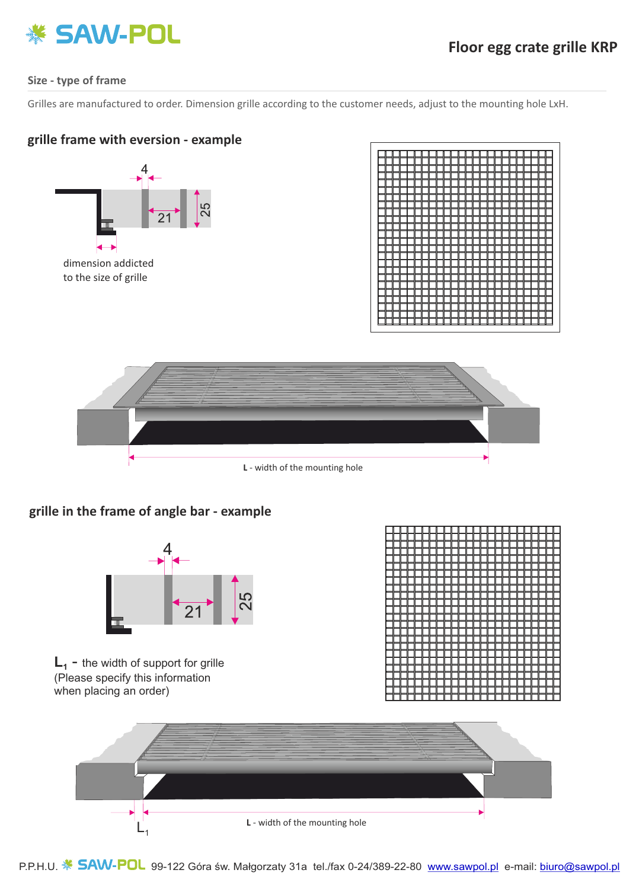

# **Size - type of frame**

Grilles are manufactured to order. Dimension grille according to the customer needs, adjust to the mounting hole LxH.

# **grille frame with eversion - example**







# **grille in the frame of angle bar - example**



 $L_1$  - the width of support for grille (Please specify this information when placing an order)